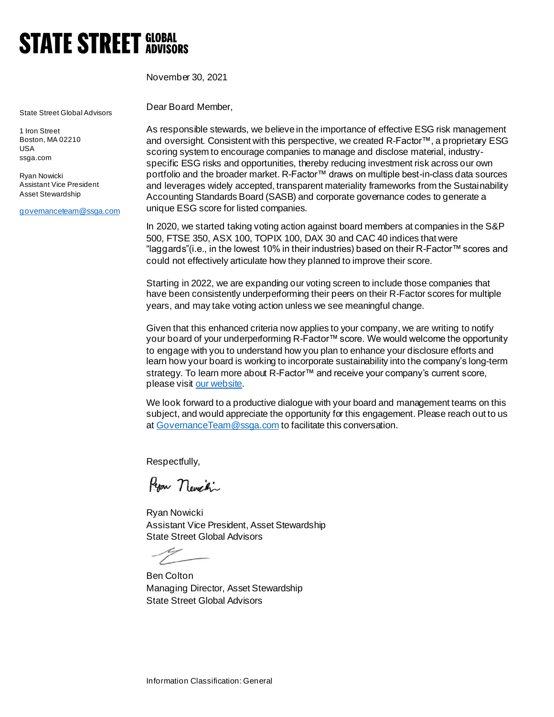## **STATE STREET GLOBAL**

November 30, 2021

State Street Global Advisors

1 Iron Street Boston, MA 02210 USA ssga.com

Ryan Nowicki Assistant Vice President Asset Stewardship

[governanceteam@ssga.com](mailto:governanceteam@ssga.com)

Dear Board Member,

As responsible stewards, we believe in the importance of effective ESG risk management and oversight. Consistent with this perspective, we created R-Factor™, a proprietary ESG scoring system to encourage companies to manage and disclose material, industryspecific ESG risks and opportunities, thereby reducing investment risk across our own portfolio and the broader market. R-Factor™ draws on multiple best-in-class data sources and leverages widely accepted, transparent materiality frameworks from the Sustainability Accounting Standards Board (SASB) and corporate governance codes to generate a unique ESG score for listed companies.

In 2020, we started taking voting action against board members at companies in the S&P 500, FTSE 350, ASX 100, TOPIX 100, DAX 30 and CAC 40 indices that were "laggards"(i.e., in the lowest 10% in their industries) based on their R-Factor™ scores and could not effectively articulate how they planned to improve their score.

Starting in 2022, we are expanding our voting screen to include those companies that have been consistently underperforming their peers on their R-Factor scores for multiple years, and may take voting action unless we see meaningful change.

Given that this enhanced criteria now applies to your company, we are writing to notify your board of your underperforming R-Factor™ score. We would welcome the opportunity to engage with you to understand how you plan to enhance your disclosure efforts and learn how your board is working to incorporate sustainability into the company's long-term strategy. To learn more about R-Factor™ and receive your company's current score, please vis[it our website](https://www.ssga.com/us/en/institutional/ic/capabilities/esg/data-scoring/r-factor-transparent-esg-scoring).

We look forward to a productive dialogue with your board and management teams on this subject, and would appreciate the opportunity for this engagement. Please reach out to us a[t GovernanceTeam@ssga.com](mailto:GovernanceTeam@ssga.com) to facilitate this conversation.

Respectfully,

Repar nevection

Ryan Nowicki Assistant Vice President, Asset Stewardship State Street Global Advisors

Ben Colton Managing Director, Asset Stewardship State Street Global Advisors